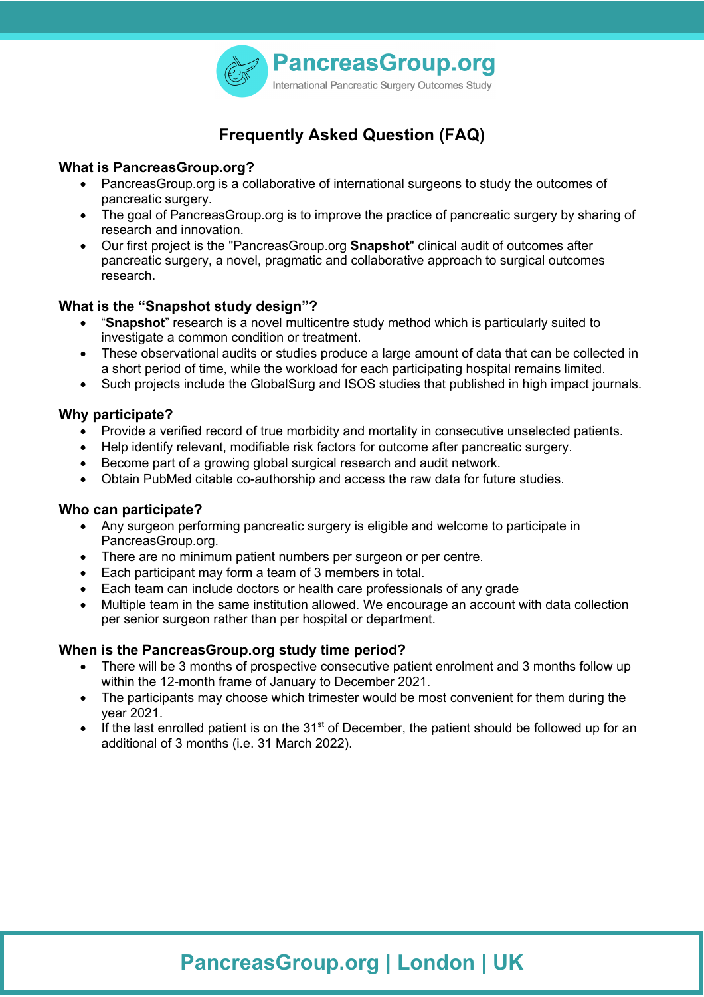

# **Frequently Asked Question (FAQ)**

### **What is PancreasGroup.org?**

- PancreasGroup.org is a collaborative of international surgeons to study the outcomes of pancreatic surgery.
- The goal of PancreasGroup.org is to improve the practice of pancreatic surgery by sharing of research and innovation.
- Our first project is the "PancreasGroup.org **Snapshot**" clinical audit of outcomes after pancreatic surgery, a novel, pragmatic and collaborative approach to surgical outcomes research.

# **What is the "Snapshot study design"?**

- "**Snapshot**" research is a novel multicentre study method which is particularly suited to investigate a common condition or treatment.
- These observational audits or studies produce a large amount of data that can be collected in a short period of time, while the workload for each participating hospital remains limited.
- Such projects include the GlobalSurg and ISOS studies that published in high impact journals.

## **Why participate?**

- Provide a verified record of true morbidity and mortality in consecutive unselected patients.
- Help identify relevant, modifiable risk factors for outcome after pancreatic surgery.
- Become part of a growing global surgical research and audit network.
- Obtain PubMed citable co-authorship and access the raw data for future studies.

### **Who can participate?**

- Any surgeon performing pancreatic surgery is eligible and welcome to participate in PancreasGroup.org.
- There are no minimum patient numbers per surgeon or per centre.
- Each participant may form a team of 3 members in total.
- Each team can include doctors or health care professionals of any grade
- Multiple team in the same institution allowed. We encourage an account with data collection per senior surgeon rather than per hospital or department.

### **When is the PancreasGroup.org study time period?**

- There will be 3 months of prospective consecutive patient enrolment and 3 months follow up within the 12-month frame of January to December 2021.
- The participants may choose which trimester would be most convenient for them during the year 2021.
- If the last enrolled patient is on the  $31<sup>st</sup>$  of December, the patient should be followed up for an additional of 3 months (i.e. 31 March 2022).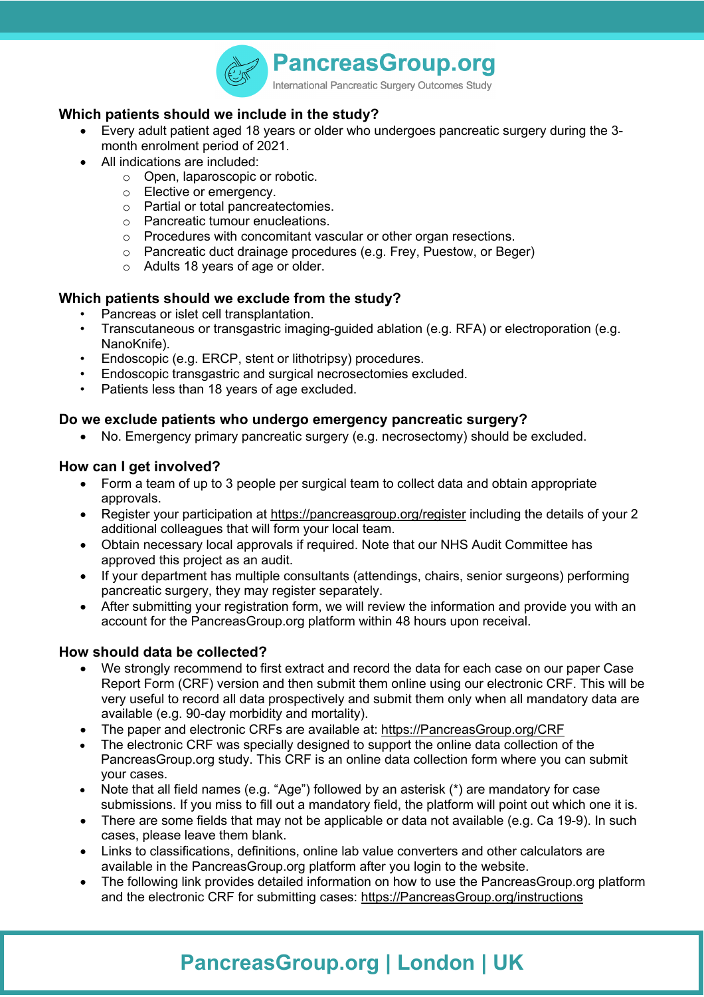

**PancreasGroup.org** 

International Pancreatic Surgery Outcomes Study

## **Which patients should we include in the study?**

- Every adult patient aged 18 years or older who undergoes pancreatic surgery during the 3 month enrolment period of 2021.
- All indications are included:
	- o Open, laparoscopic or robotic.
	- o Elective or emergency.
	- o Partial or total pancreatectomies.
	- o Pancreatic tumour enucleations.
	- o Procedures with concomitant vascular or other organ resections.
	- o Pancreatic duct drainage procedures (e.g. Frey, Puestow, or Beger)
	- o Adults 18 years of age or older.

## **Which patients should we exclude from the study?**

- Pancreas or islet cell transplantation.
- Transcutaneous or transgastric imaging-guided ablation (e.g. RFA) or electroporation (e.g. NanoKnife).
- Endoscopic (e.g. ERCP, stent or lithotripsy) procedures.
- Endoscopic transgastric and surgical necrosectomies excluded.
- Patients less than 18 years of age excluded.

## **Do we exclude patients who undergo emergency pancreatic surgery?**

• No. Emergency primary pancreatic surgery (e.g. necrosectomy) should be excluded.

### **How can I get involved?**

- Form a team of up to 3 people per surgical team to collect data and obtain appropriate approvals.
- Register your participation at https://pancreasgroup.org/register including the details of your 2 additional colleagues that will form your local team.
- Obtain necessary local approvals if required. Note that our NHS Audit Committee has approved this project as an audit.
- If your department has multiple consultants (attendings, chairs, senior surgeons) performing pancreatic surgery, they may register separately.
- After submitting your registration form, we will review the information and provide you with an account for the PancreasGroup.org platform within 48 hours upon receival.

### **How should data be collected?**

- We strongly recommend to first extract and record the data for each case on our paper Case Report Form (CRF) version and then submit them online using our electronic CRF. This will be very useful to record all data prospectively and submit them only when all mandatory data are available (e.g. 90-day morbidity and mortality).
- The paper and electronic CRFs are available at: https://PancreasGroup.org/CRF
- The electronic CRF was specially designed to support the online data collection of the PancreasGroup.org study. This CRF is an online data collection form where you can submit your cases.
- Note that all field names (e.g. "Age") followed by an asterisk (\*) are mandatory for case submissions. If you miss to fill out a mandatory field, the platform will point out which one it is.
- There are some fields that may not be applicable or data not available (e.g. Ca 19-9). In such cases, please leave them blank.
- Links to classifications, definitions, online lab value converters and other calculators are available in the PancreasGroup.org platform after you login to the website.
- The following link provides detailed information on how to use the PancreasGroup.org platform and the electronic CRF for submitting cases: https://PancreasGroup.org/instructions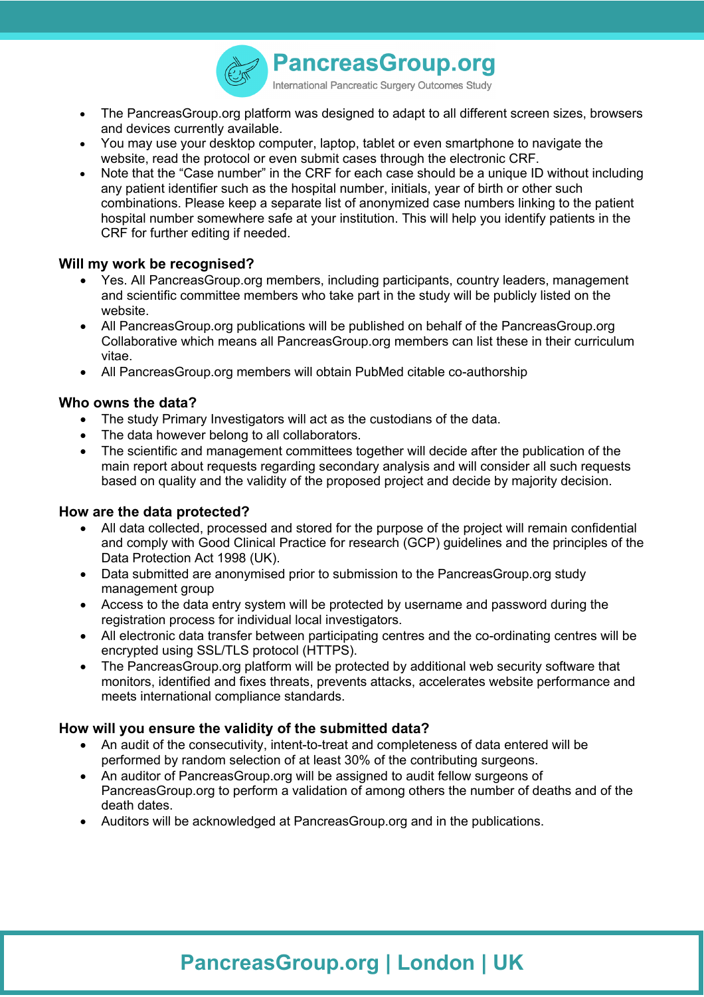

**PancreasGroup.org** 

International Pancreatic Surgery Outcomes Study

- The PancreasGroup.org platform was designed to adapt to all different screen sizes, browsers and devices currently available.
- You may use your desktop computer, laptop, tablet or even smartphone to navigate the website, read the protocol or even submit cases through the electronic CRF.
- Note that the "Case number" in the CRF for each case should be a unique ID without including any patient identifier such as the hospital number, initials, year of birth or other such combinations. Please keep a separate list of anonymized case numbers linking to the patient hospital number somewhere safe at your institution. This will help you identify patients in the CRF for further editing if needed.

### **Will my work be recognised?**

- Yes. All PancreasGroup.org members, including participants, country leaders, management and scientific committee members who take part in the study will be publicly listed on the website.
- All PancreasGroup.org publications will be published on behalf of the PancreasGroup.org Collaborative which means all PancreasGroup.org members can list these in their curriculum vitae.
- All PancreasGroup.org members will obtain PubMed citable co-authorship

## **Who owns the data?**

- The study Primary Investigators will act as the custodians of the data.
- The data however belong to all collaborators.
- The scientific and management committees together will decide after the publication of the main report about requests regarding secondary analysis and will consider all such requests based on quality and the validity of the proposed project and decide by majority decision.

### **How are the data protected?**

- All data collected, processed and stored for the purpose of the project will remain confidential and comply with Good Clinical Practice for research (GCP) guidelines and the principles of the Data Protection Act 1998 (UK).
- Data submitted are anonymised prior to submission to the PancreasGroup.org study management group
- Access to the data entry system will be protected by username and password during the registration process for individual local investigators.
- All electronic data transfer between participating centres and the co-ordinating centres will be encrypted using SSL/TLS protocol (HTTPS).
- The PancreasGroup.org platform will be protected by additional web security software that monitors, identified and fixes threats, prevents attacks, accelerates website performance and meets international compliance standards.

### **How will you ensure the validity of the submitted data?**

- An audit of the consecutivity, intent-to-treat and completeness of data entered will be performed by random selection of at least 30% of the contributing surgeons.
- An auditor of PancreasGroup.org will be assigned to audit fellow surgeons of PancreasGroup.org to perform a validation of among others the number of deaths and of the death dates.
- Auditors will be acknowledged at PancreasGroup.org and in the publications.